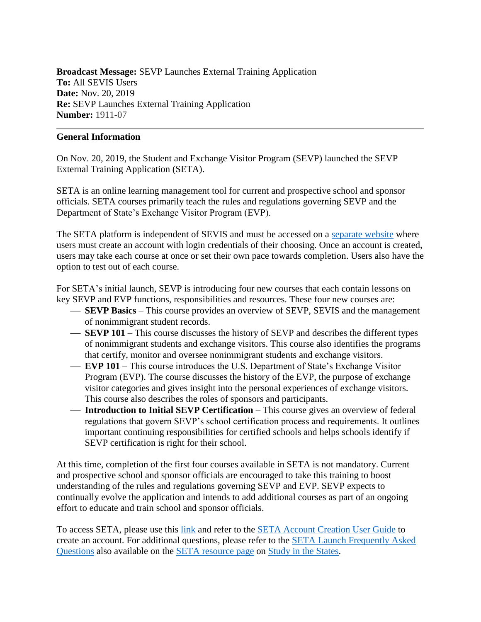**Broadcast Message:** SEVP Launches External Training Application **To:** All SEVIS Users **Date:** Nov. 20, 2019 **Re:** SEVP Launches External Training Application **Number:** 1911-07

## **General Information**

On Nov. 20, 2019, the Student and Exchange Visitor Program (SEVP) launched the SEVP External Training Application (SETA).

SETA is an online learning management tool for current and prospective school and sponsor officials. SETA courses primarily teach the rules and regulations governing SEVP and the Department of State's Exchange Visitor Program (EVP).

The SETA platform is independent of SEVIS and must be accessed on a [separate website](https://sevp.ice.gov/seta/login/index.php) where users must create an account with login credentials of their choosing. Once an account is created, users may take each course at once or set their own pace towards completion. Users also have the option to test out of each course.

For SETA's initial launch, SEVP is introducing four new courses that each contain lessons on key SEVP and EVP functions, responsibilities and resources. These four new courses are:

- **SEVP Basics** This course provides an overview of SEVP, SEVIS and the management of nonimmigrant student records.
- ⎯ **SEVP 101** This course discusses the history of SEVP and describes the different types of nonimmigrant students and exchange visitors. This course also identifies the programs that certify, monitor and oversee nonimmigrant students and exchange visitors.
- ⎯ **EVP 101** This course introduces the U.S. Department of State's Exchange Visitor Program (EVP). The course discusses the history of the EVP, the purpose of exchange visitor categories and gives insight into the personal experiences of exchange visitors. This course also describes the roles of sponsors and participants.
- **Introduction to Initial SEVP Certification** This course gives an overview of federal regulations that govern SEVP's school certification process and requirements. It outlines important continuing responsibilities for certified schools and helps schools identify if SEVP certification is right for their school.

At this time, completion of the first four courses available in SETA is not mandatory. Current and prospective school and sponsor officials are encouraged to take this training to boost understanding of the rules and regulations governing SEVP and EVP. SEVP expects to continually evolve the application and intends to add additional courses as part of an ongoing effort to educate and train school and sponsor officials.

To access SETA, please use this [link](https://sevp.ice.gov/seta/login/index.php) and refer to the [SETA Account Creation User Guide](https://studyinthestates.dhs.gov/assets/SETA_Account_Creation_User_Guide.pdf) to create an account. For additional questions, please refer to the [SETA Launch Frequently Asked](https://studyinthestates.dhs.gov/seta-launch-frequently-asked-questions)  [Questions](https://studyinthestates.dhs.gov/seta-launch-frequently-asked-questions) also available on the [SETA resource page](https://studyinthestates.dhs.gov/sevp-external-training-application) on [Study in the States.](https://studyinthestates.dhs.gov/)